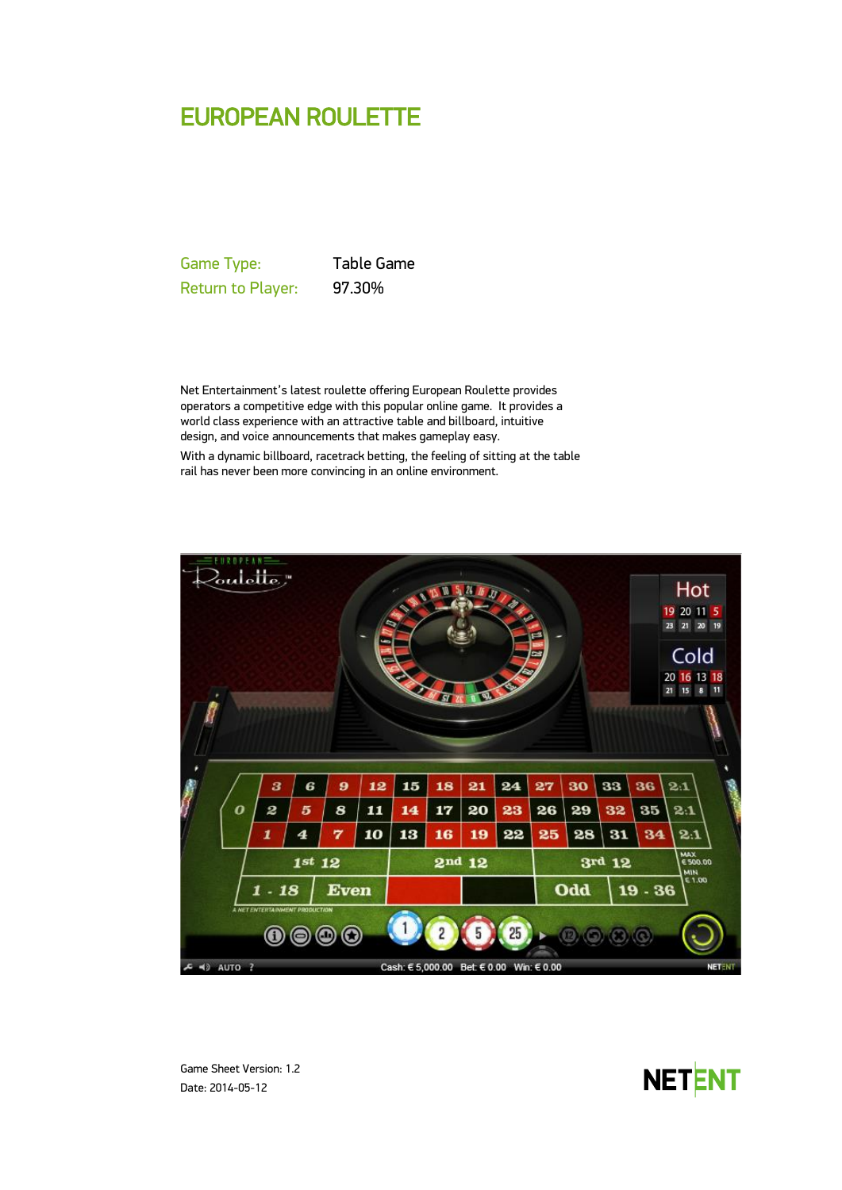# EUROPEAN ROULETTE

Game Type: Table Game Return to Player: 97.30%

Net Entertainment's latest roulette offering European Roulette provides operators a competitive edge with this popular online game. It provides a world class experience with an attractive table and billboard, intuitive design, and voice announcements that makes gameplay easy. With a dynamic billboard, racetrack betting, the feeling of sitting at the table rail has never been more convincing in an online environment.



Game Sheet Version: 1.2 Date: 2014-05-12

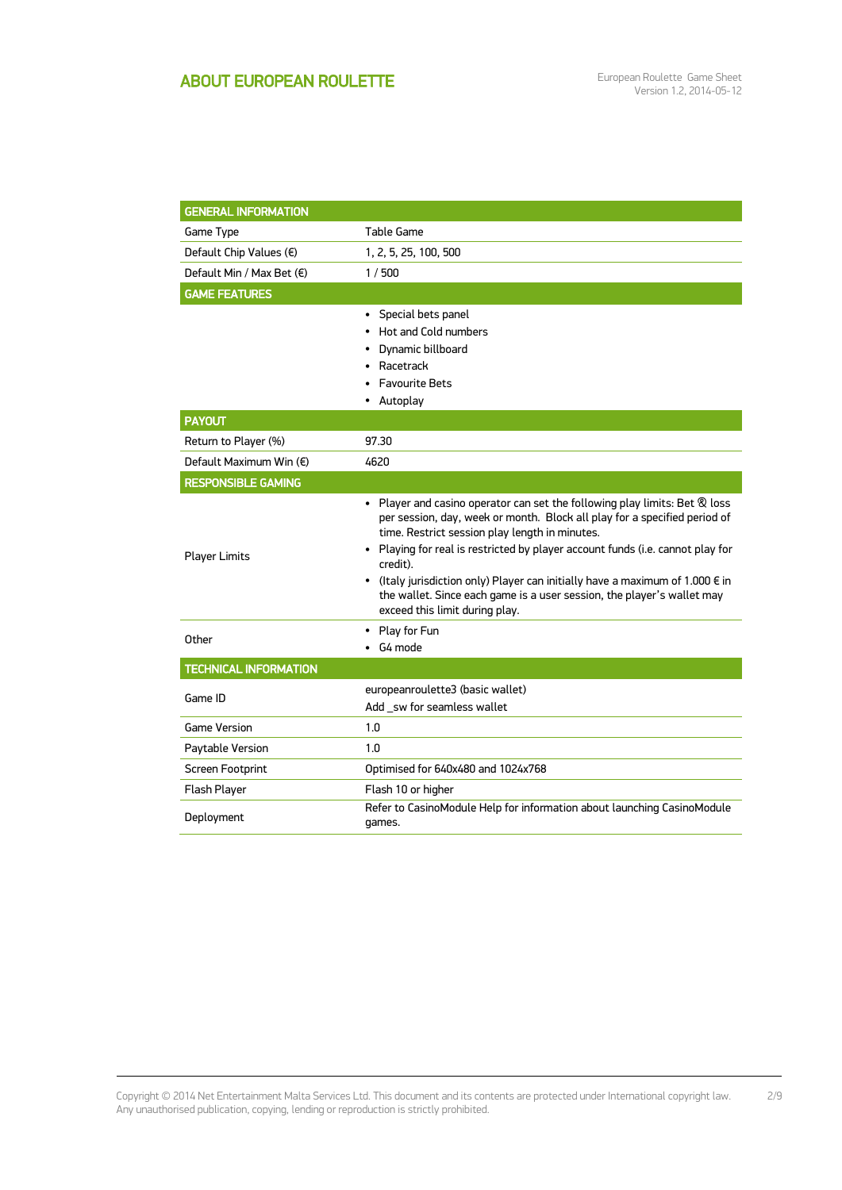| <b>GENERAL INFORMATION</b>   |                                                                                                                                                                                                                                                                                                                                                                                                                                                                                                                            |
|------------------------------|----------------------------------------------------------------------------------------------------------------------------------------------------------------------------------------------------------------------------------------------------------------------------------------------------------------------------------------------------------------------------------------------------------------------------------------------------------------------------------------------------------------------------|
| Game Type                    | Table Game                                                                                                                                                                                                                                                                                                                                                                                                                                                                                                                 |
| Default Chip Values (€)      | 1, 2, 5, 25, 100, 500                                                                                                                                                                                                                                                                                                                                                                                                                                                                                                      |
| Default Min / Max Bet (€)    | 1/500                                                                                                                                                                                                                                                                                                                                                                                                                                                                                                                      |
| <b>GAME FEATURES</b>         |                                                                                                                                                                                                                                                                                                                                                                                                                                                                                                                            |
|                              | Special bets panel<br>٠<br>Hot and Cold numbers<br>Dynamic billboard<br>Racetrack<br>$\bullet$<br><b>Favourite Bets</b><br>Autoplay                                                                                                                                                                                                                                                                                                                                                                                        |
| <b>PAYOUT</b>                |                                                                                                                                                                                                                                                                                                                                                                                                                                                                                                                            |
| Return to Player (%)         | 97.30                                                                                                                                                                                                                                                                                                                                                                                                                                                                                                                      |
| Default Maximum Win (€)      | 4620                                                                                                                                                                                                                                                                                                                                                                                                                                                                                                                       |
| <b>RESPONSIBLE GAMING</b>    |                                                                                                                                                                                                                                                                                                                                                                                                                                                                                                                            |
| <b>Player Limits</b>         | • Player and casino operator can set the following play limits: Bet $\mathcal R$ loss<br>per session, day, week or month. Block all play for a specified period of<br>time. Restrict session play length in minutes.<br>• Playing for real is restricted by player account funds (i.e. cannot play for<br>credit).<br>(Italy jurisdiction only) Player can initially have a maximum of 1.000 € in<br>$\bullet$<br>the wallet. Since each game is a user session, the player's wallet may<br>exceed this limit during play. |
| Other                        | • Play for Fun                                                                                                                                                                                                                                                                                                                                                                                                                                                                                                             |
|                              | G4 mode                                                                                                                                                                                                                                                                                                                                                                                                                                                                                                                    |
| <b>TECHNICAL INFORMATION</b> |                                                                                                                                                                                                                                                                                                                                                                                                                                                                                                                            |
| Game ID                      | europeanroulette3 (basic wallet)<br>Add sw for seamless wallet                                                                                                                                                                                                                                                                                                                                                                                                                                                             |
| <b>Game Version</b>          | 1.0                                                                                                                                                                                                                                                                                                                                                                                                                                                                                                                        |
| Paytable Version             | 1.0                                                                                                                                                                                                                                                                                                                                                                                                                                                                                                                        |
| <b>Screen Footprint</b>      | Optimised for 640x480 and 1024x768                                                                                                                                                                                                                                                                                                                                                                                                                                                                                         |
| Flash Player                 | Flash 10 or higher                                                                                                                                                                                                                                                                                                                                                                                                                                                                                                         |
| Deployment                   | Refer to CasinoModule Help for information about launching CasinoModule<br>games.                                                                                                                                                                                                                                                                                                                                                                                                                                          |

Copyright © 2014 Net Entertainment Malta Services Ltd. This document and its contents are protected under International copyright law. Any unauthorised publication, copying, lending or reproduction is strictly prohibited. 2/9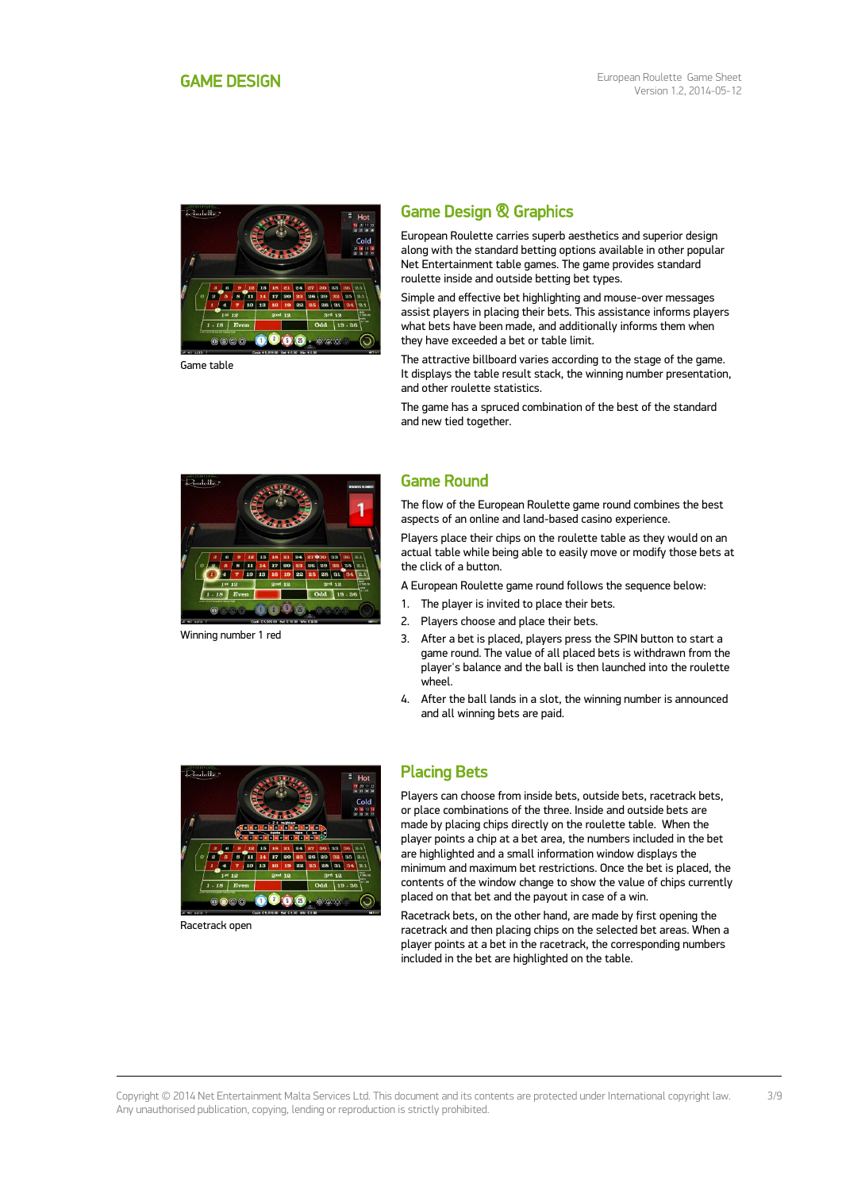<span id="page-2-0"></span>

Game table

## Game Design & Graphics

European Roulette carries superb aesthetics and superior design along with the standard betting options available in other popular Net Entertainment table games. The game provides standard roulette inside and outside betting bet types.

Simple and effective bet highlighting and mouse-over messages assist players in placing their bets. This assistance informs players what bets have been made, and additionally informs them when they have exceeded a bet or table limit.

The attractive billboard varies according to the stage of the game. It displays the table result stack, the winning number presentation, and other roulette statistics.

The game has a spruced combination of the best of the standard and new tied together.



Winning number 1 red

## Game Round

The flow of the European Roulette game round combines the best aspects of an online and land-based casino experience.

Players place their chips on the roulette table as they would on an actual table while being able to easily move or modify those bets at the click of a button.

- A European Roulette game round follows the sequence below:
- 1. The player is invited to place their bets.
- 2. Players choose and place their bets.
- 3. After a bet is placed, players press the SPIN button to start a game round. The value of all placed bets is withdrawn from the player's balance and the ball is then launched into the roulette wheel.
- 4. After the ball lands in a slot, the winning number is announced and all winning bets are paid.



Racetrack open

#### Placing Bets

Players can choose from inside bets, outside bets, racetrack bets, or place combinations of the three. Inside and outside bets are made by placing chips directly on the roulette table. When the player points a chip at a bet area, the numbers included in the bet are highlighted and a small information window displays the minimum and maximum bet restrictions. Once the bet is placed, the contents of the window change to show the value of chips currently placed on that bet and the payout in case of a win.

Racetrack bets, on the other hand, are made by first opening the racetrack and then placing chips on the selected bet areas. When a player points at a bet in the racetrack, the corresponding numbers included in the bet are highlighted on the table.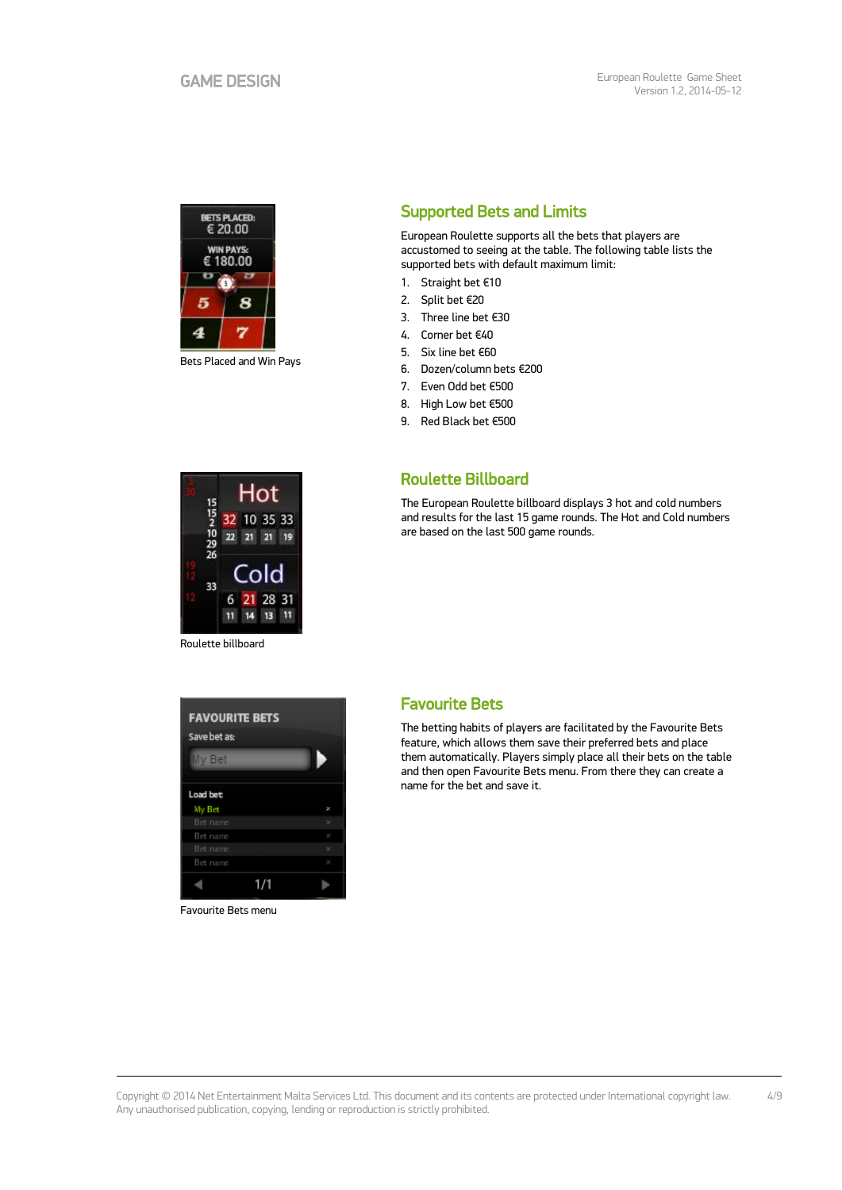

Bets Placed and Win Pays

## H∩t 35 33 10  $\frac{10}{29}$  $\overline{21}$  $21$  $\overline{10}$ 33

28  $\overline{3}$ 

Roulette billboard

6  $11$  $14$ 13

# **FAVOURITE BETS** Save bet as: My Bet Load bet: My Bet **Bet name**  $1/1$ ٩

Favourite Bets menu

## Supported Bets and Limits

European Roulette supports all the bets that players are accustomed to seeing at the table. The following table lists the supported bets with default maximum limit:

- 1. Straight bet €10
- 2. Split bet €20
- 3. Three line bet €30
- 4. Corner bet €40
- 5. Six line bet €60
- 6. Dozen/column bets €200
- 7. Even Odd bet €500
- 8. High Low bet €500
- 9. Red Black bet €500

### Roulette Billboard

The European Roulette billboard displays 3 hot and cold numbers and results for the last 15 game rounds. The Hot and Cold numbers are based on the last 500 game rounds.

#### Favourite Bets

The betting habits of players are facilitated by the Favourite Bets feature, which allows them save their preferred bets and place them automatically. Players simply place all their bets on the table and then open Favourite Bets menu. From there they can create a name for the bet and save it.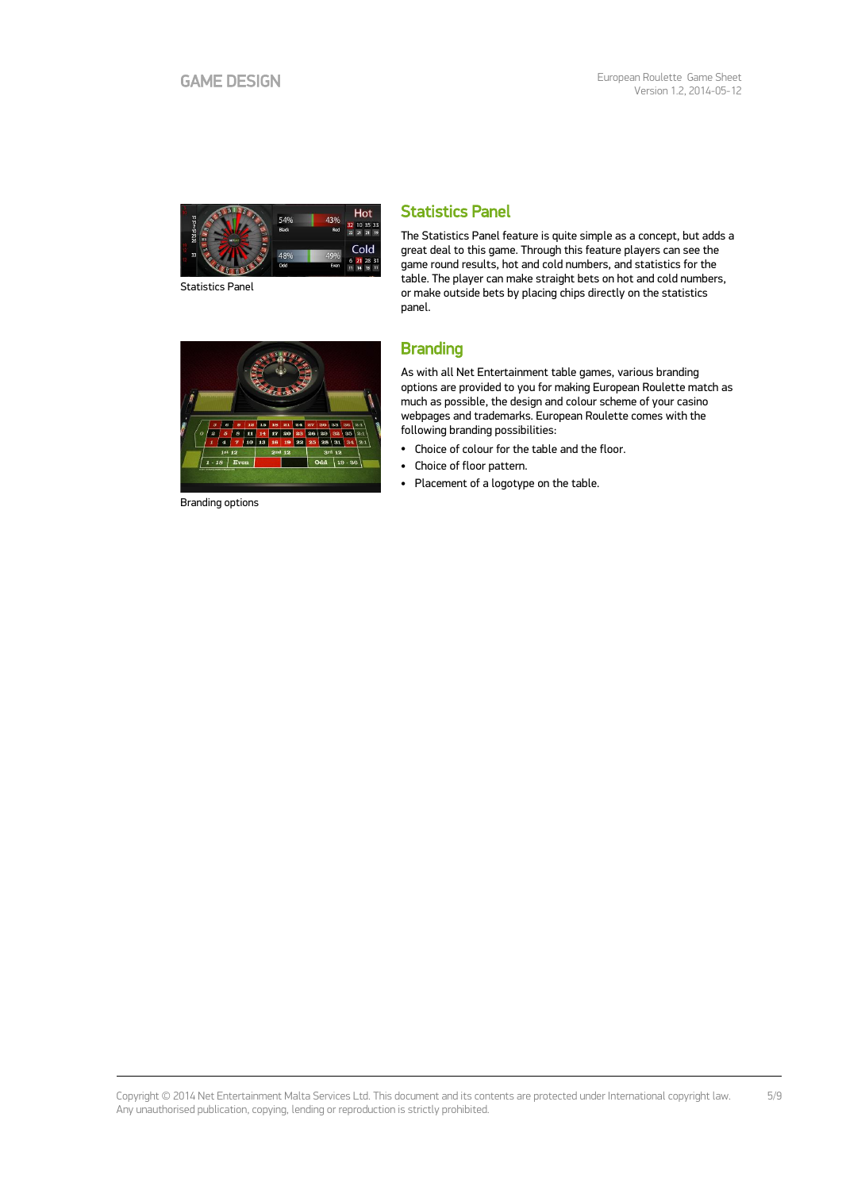

Statistics Panel

## Statistics Panel

The Statistics Panel feature is quite simple as a concept, but adds a great deal to this game. Through this feature players can see the game round results, hot and cold numbers, and statistics for the table. The player can make straight bets on hot and cold numbers, or make outside bets by placing chips directly on the statistics panel.



As with all Net Entertainment table games, various branding options are provided to you for making European Roulette match as much as possible, the design and colour scheme of your casino webpages and trademarks. European Roulette comes with the following branding possibilities:

- Choice of colour for the table and the floor.
- Choice of floor pattern.
- Placement of a logotype on the table.



Branding options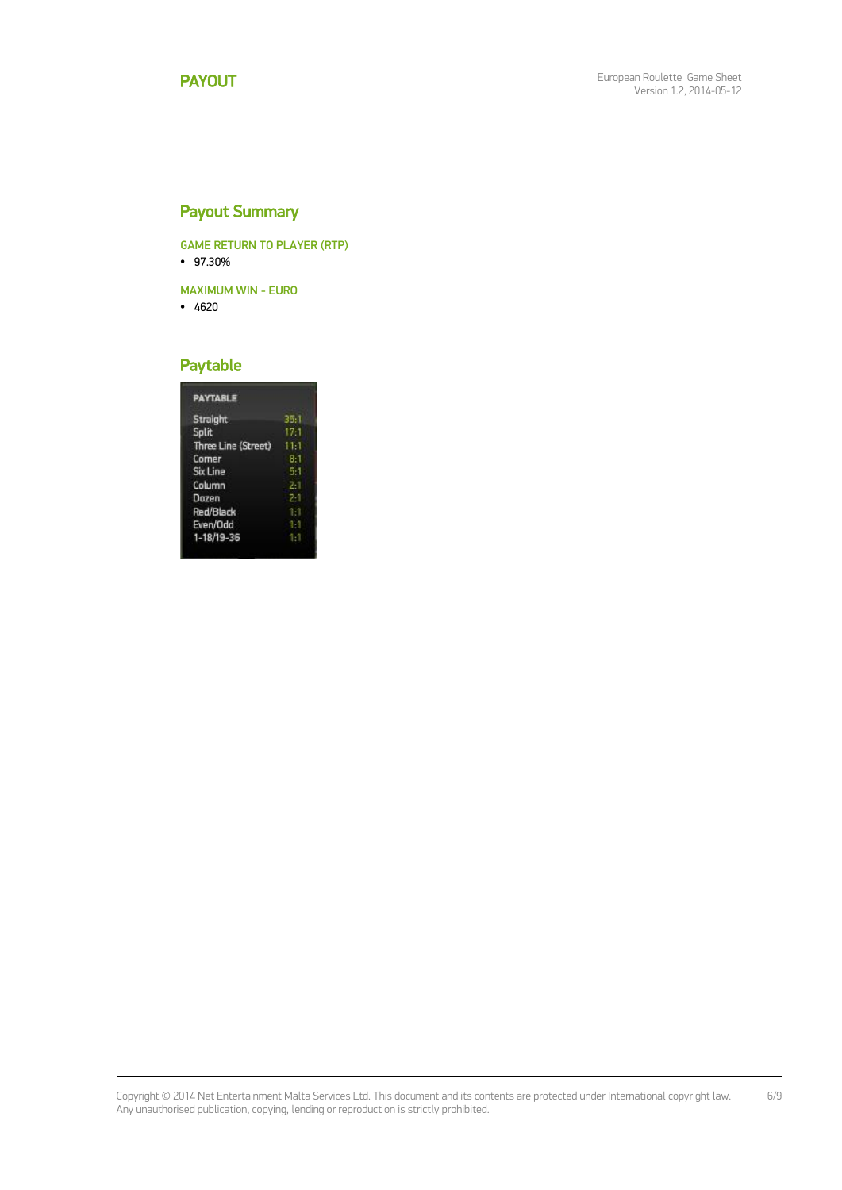## Payout Summary

GAME RETURN TO PLAYER (RTP) 97.30%

- 
- MAXIMUM WIN EURO
- $-4620$

## Paytable

| Straight            | 35:1    |
|---------------------|---------|
| Split               | $17-1$  |
| Three Line (Street) | $11-1$  |
| Comer               | 8:1     |
| <b>Six Line</b>     | 5.1     |
| Column              | $2 - 1$ |
| Dozen               | 21      |
| Red/Black           | 1.1     |
| Even/Odd            |         |
| 1-18/19-36          |         |

Copyright © 2014 Net Entertainment Malta Services Ltd. This document and its contents are protected under International copyright law. Any unauthorised publication, copying, lending or reproduction is strictly prohibited. 6/9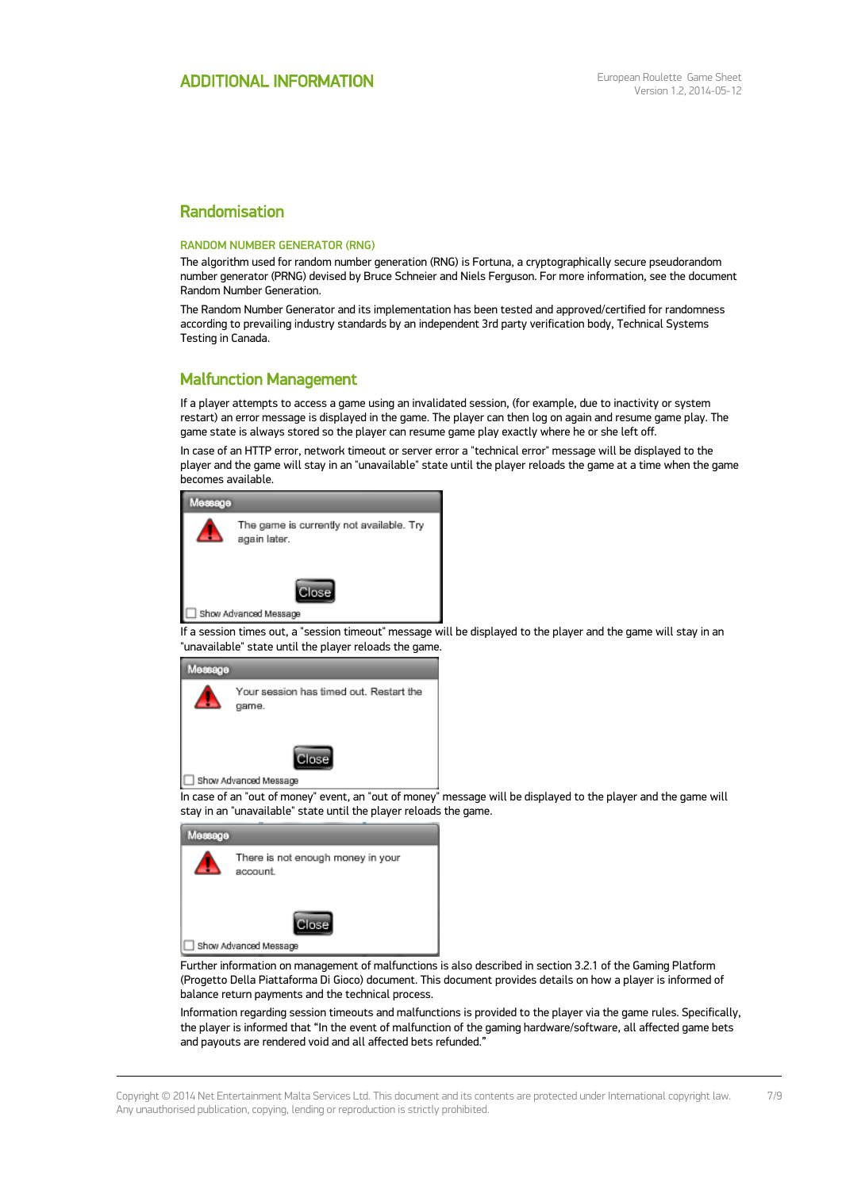## Randomisation

#### RANDOM NUMBER GENERATOR (RNG)

The algorithm used for random number generation (RNG) is Fortuna, a cryptographically secure pseudorandom number generator (PRNG) devised by Bruce Schneier and Niels Ferguson. For more information, see the document Random Number Generation.

The Random Number Generator and its implementation has been tested and approved/certified for randomness according to prevailing industry standards by an independent 3rd party verification body, Technical Systems Testing in Canada.

#### Malfunction Management

If a player attempts to access a game using an invalidated session, (for example, due to inactivity or system restart) an error message is displayed in the game. The player can then log on again and resume game play. The game state is always stored so the player can resume game play exactly where he or she left off.

In case of an HTTP error, network timeout or server error a "technical error" message will be displayed to the player and the game will stay in an "unavailable" state until the player reloads the game at a time when the game becomes available.



If a session times out, a "session timeout" message will be displayed to the player and the game will stay in an "unavailable" state until the player reloads the game.



In case of an "out of money" event, an "out of money" message will be displayed to the player and the game will stay in an "unavailable" state until the player reloads the game.

| Мезваде |                                               |
|---------|-----------------------------------------------|
|         | There is not enough money in your<br>account. |
|         | Jlose<br>Show Advanced Message                |

Further information on management of malfunctions is also described in section 3.2.1 of the Gaming Platform (Progetto Della Piattaforma Di Gioco) document. This document provides details on how a player is informed of balance return payments and the technical process.

Information regarding session timeouts and malfunctions is provided to the player via the game rules. Specifically, the player is informed that "In the event of malfunction of the gaming hardware/software, all affected game bets and payouts are rendered void and all affected bets refunded."

Copyright © 2014 Net Entertainment Malta Services Ltd. This document and its contents are protected under International copyright law. Any unauthorised publication, copying, lending or reproduction is strictly prohibited.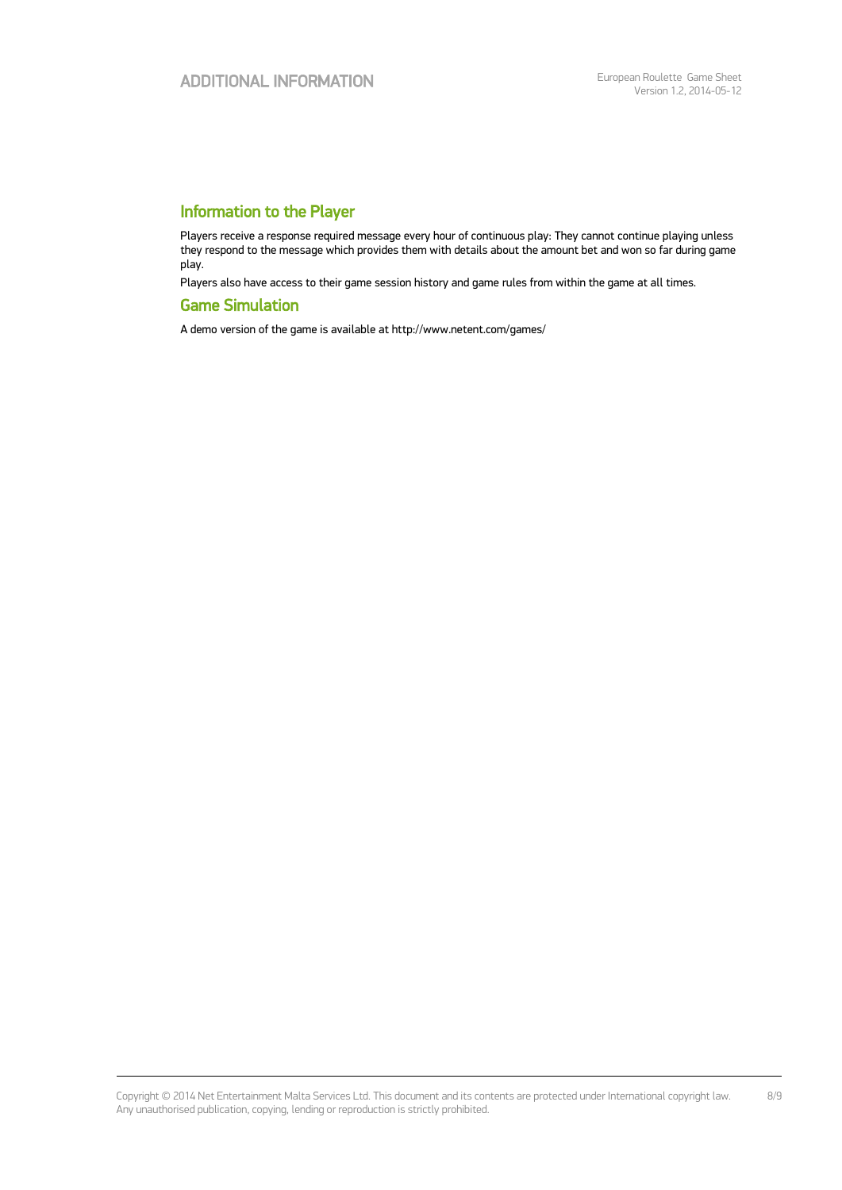## Information to the Player

Players receive a response required message every hour of continuous play: They cannot continue playing unless they respond to the message which provides them with details about the amount bet and won so far during game play.

Players also have access to their game session history and game rules from within the game at all times.

#### Game Simulation

A demo version of the game is available at http://www.netent.com/games/